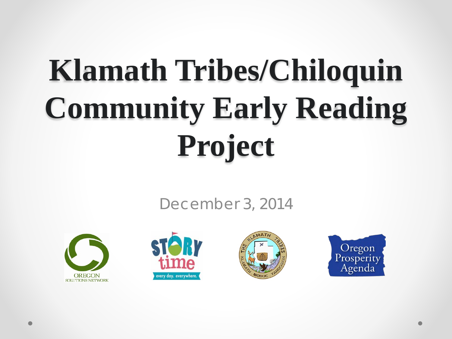# **Klamath Tribes/Chiloquin Community Early Reading Project**

December 3, 2014







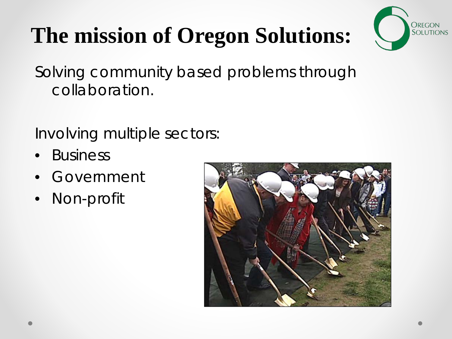### **The mission of Oregon Solutions:**



Solving community based problems through collaboration.

Involving multiple sectors:

- *Business*
- *Government*
- *Non-profit*

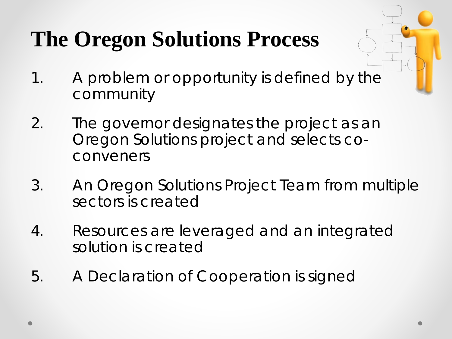### **The Oregon Solutions Process**

- 1. A problem or opportunity is defined by the community
- 2. The governor designates the project as an Oregon Solutions project and selects coconveners
- 3. An Oregon Solutions Project Team from multiple sectors is created
- 4. Resources are leveraged and an integrated solution is created
- 5. A Declaration of Cooperation is signed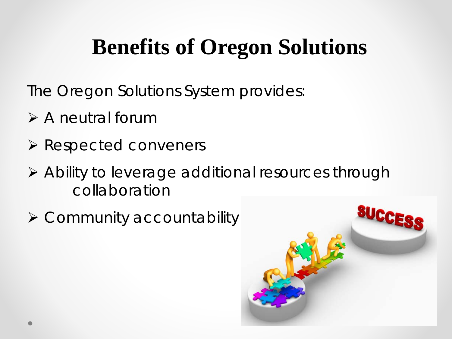### **Benefits of Oregon Solutions**

The Oregon Solutions System provides:

- $\triangleright$  A neutral forum
- $\triangleright$  Respected conveners
- Ability to leverage additional resources through collaboration
- $\triangleright$  Community accountability

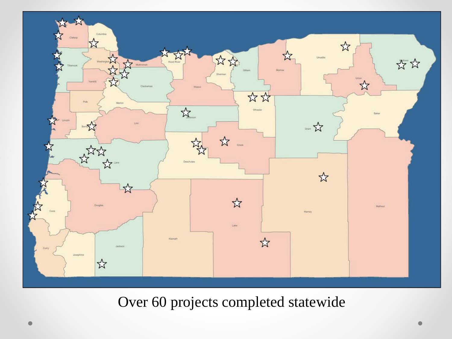

#### Over 60 projects completed statewide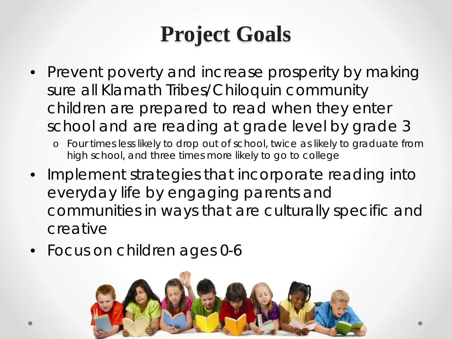### **Project Goals**

- Prevent poverty and increase prosperity by making sure all Klamath Tribes/Chiloquin community children are prepared to read when they enter school and are reading at grade level by grade 3
	- o Four times less likely to drop out of school, twice as likely to graduate from high school, and three times more likely to go to college
- Implement strategies that incorporate reading into everyday life by engaging parents and communities in ways that are culturally specific and creative
- Focus on children ages 0-6

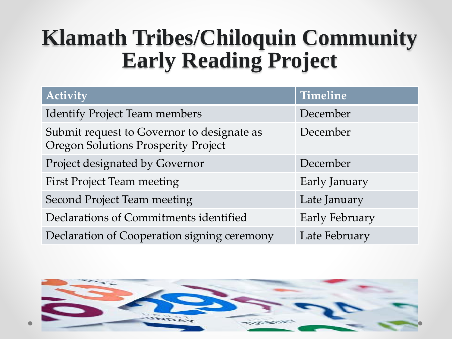### **Klamath Tribes/Chiloquin Community Early Reading Project**

| <b>Activity</b>                                                                          | Timeline       |
|------------------------------------------------------------------------------------------|----------------|
| <b>Identify Project Team members</b>                                                     | December       |
| Submit request to Governor to designate as<br><b>Oregon Solutions Prosperity Project</b> | December       |
| Project designated by Governor                                                           | December       |
| <b>First Project Team meeting</b>                                                        | Early January  |
| <b>Second Project Team meeting</b>                                                       | Late January   |
| Declarations of Commitments identified                                                   | Early February |
| Declaration of Cooperation signing ceremony                                              | Late February  |